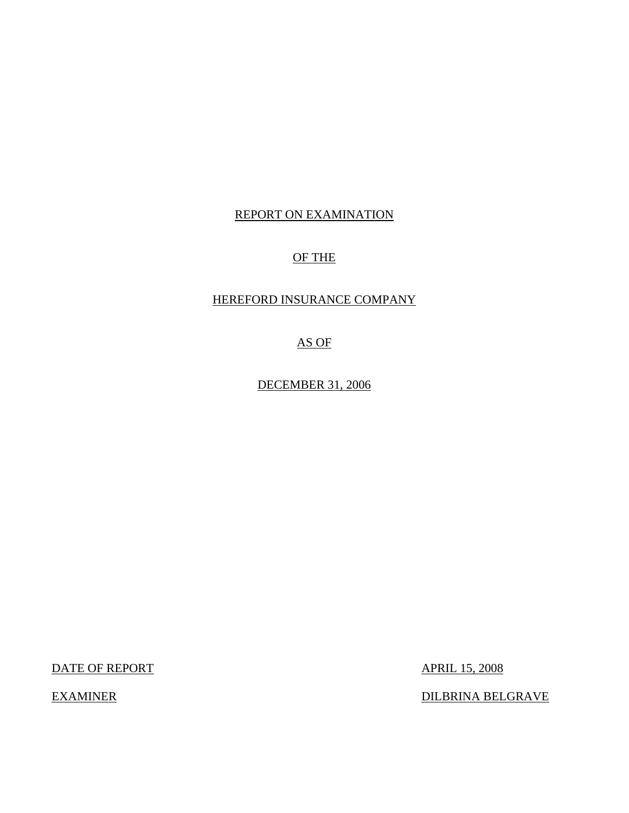# REPORT ON EXAMINATION

# OF THE

# HEREFORD INSURANCE COMPANY

AS OF

DECEMBER 31, 2006

DATE OF REPORT APRIL 15, 2008

EXAMINER DILBRINA BELGRAVE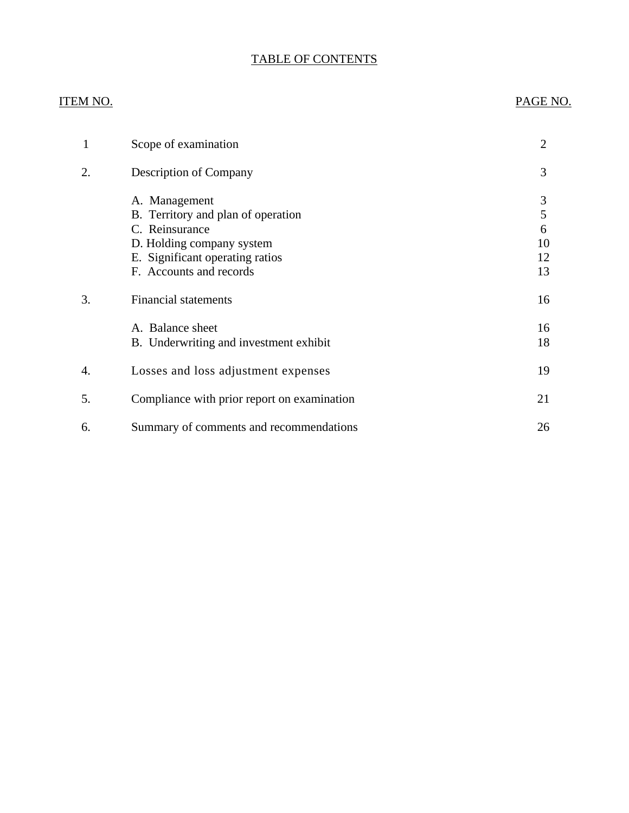# TABLE OF CONTENTS

# ITEM NO. PAGE NO.

| 1  | Scope of examination                                                                                                                                             | $\overline{2}$                |
|----|------------------------------------------------------------------------------------------------------------------------------------------------------------------|-------------------------------|
| 2. | <b>Description of Company</b>                                                                                                                                    | 3                             |
|    | A. Management<br>B. Territory and plan of operation<br>C. Reinsurance<br>D. Holding company system<br>E. Significant operating ratios<br>F. Accounts and records | 3<br>5<br>6<br>10<br>12<br>13 |
| 3. | <b>Financial statements</b>                                                                                                                                      | 16                            |
|    | A. Balance sheet<br>B. Underwriting and investment exhibit                                                                                                       | 16<br>18                      |
| 4. | Losses and loss adjustment expenses                                                                                                                              | 19                            |
| 5. | Compliance with prior report on examination                                                                                                                      | 21                            |
| 6. | Summary of comments and recommendations                                                                                                                          | 26                            |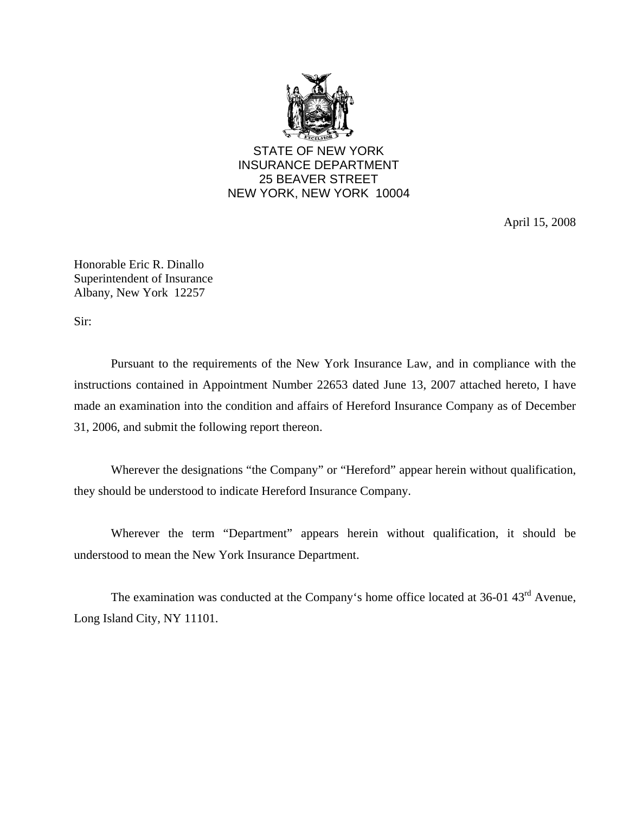

STATE OF NEW YORK INSURANCE DEPARTMENT 25 BEAVER STREET NEW YORK, NEW YORK 10004

April 15, 2008

Honorable Eric R. Dinallo Superintendent of Insurance Albany, New York 12257

Sir:

Pursuant to the requirements of the New York Insurance Law, and in compliance with the instructions contained in Appointment Number 22653 dated June 13, 2007 attached hereto, I have made an examination into the condition and affairs of Hereford Insurance Company as of December 31, 2006, and submit the following report thereon.

Wherever the designations "the Company" or "Hereford" appear herein without qualification, they should be understood to indicate Hereford Insurance Company.

Wherever the term "Department" appears herein without qualification, it should be understood to mean the New York Insurance Department.

The examination was conducted at the Company's home office located at 36-01 43<sup>rd</sup> Avenue, Long Island City, NY 11101.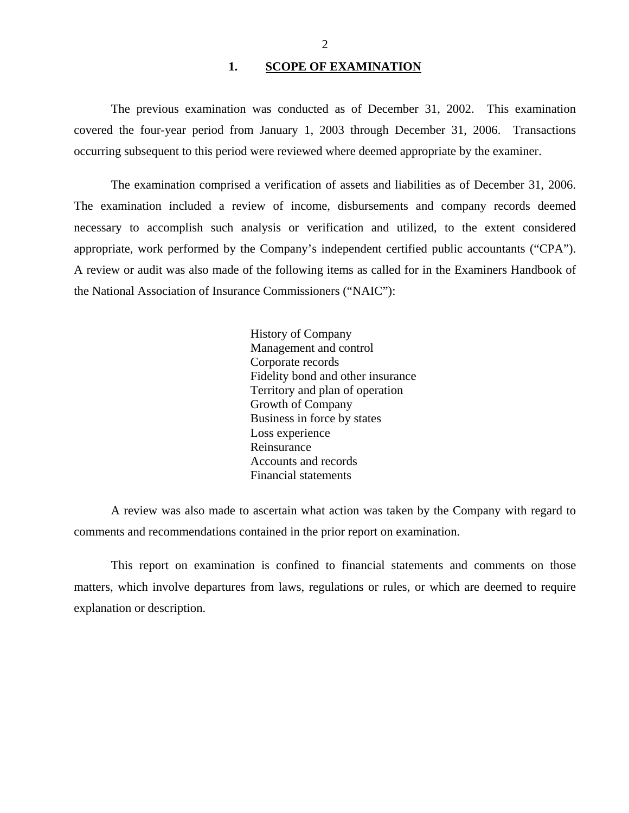#### 1. SCOPE OF EXAMINATION

<span id="page-3-0"></span>The previous examination was conducted as of December 31, 2002. This examination covered the four-year period from January 1, 2003 through December 31, 2006. Transactions occurring subsequent to this period were reviewed where deemed appropriate by the examiner.

The examination comprised a verification of assets and liabilities as of December 31, 2006. The examination included a review of income, disbursements and company records deemed necessary to accomplish such analysis or verification and utilized, to the extent considered appropriate, work performed by the Company's independent certified public accountants ("CPA"). A review or audit was also made of the following items as called for in the Examiners Handbook of the National Association of Insurance Commissioners ("NAIC"):

> History of Company Management and control Corporate records Fidelity bond and other insurance Territory and plan of operation Growth of Company Business in force by states Loss experience Reinsurance Accounts and records Financial statements

A review was also made to ascertain what action was taken by the Company with regard to comments and recommendations contained in the prior report on examination.

This report on examination is confined to financial statements and comments on those matters, which involve departures from laws, regulations or rules, or which are deemed to require explanation or description.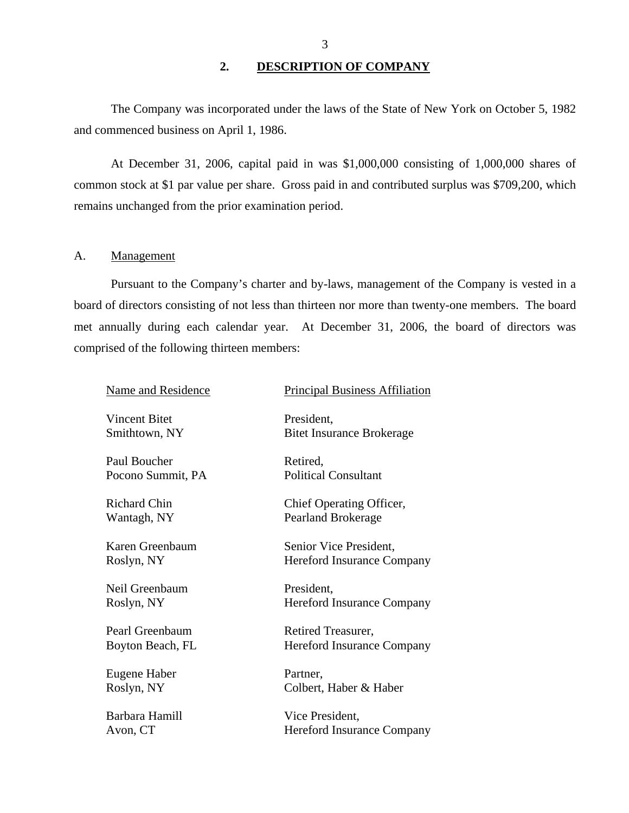# **2. DESCRIPTION OF COMPANY**

<span id="page-4-0"></span>The Company was incorporated under the laws of the State of New York on October 5, 1982 and commenced business on April 1, 1986.

At December 31, 2006, capital paid in was \$1,000,000 consisting of 1,000,000 shares of common stock at \$1 par value per share. Gross paid in and contributed surplus was \$709,200, which remains unchanged from the prior examination period.

## A. Management

Pursuant to the Company's charter and by-laws, management of the Company is vested in a board of directors consisting of not less than thirteen nor more than twenty-one members. The board met annually during each calendar year. At December 31, 2006, the board of directors was comprised of the following thirteen members:

| <b>Name and Residence</b> | <b>Principal Business Affiliation</b> |
|---------------------------|---------------------------------------|
| <b>Vincent Bitet</b>      | President.                            |
| Smithtown, NY             | <b>Bitet Insurance Brokerage</b>      |
| Paul Boucher              | Retired,                              |
| Pocono Summit, PA         | <b>Political Consultant</b>           |
| <b>Richard Chin</b>       | Chief Operating Officer,              |
| Wantagh, NY               | <b>Pearland Brokerage</b>             |
| Karen Greenbaum           | Senior Vice President,                |
| Roslyn, NY                | Hereford Insurance Company            |
| Neil Greenbaum            | President.                            |
| Roslyn, NY                | <b>Hereford Insurance Company</b>     |
| Pearl Greenbaum           | Retired Treasurer,                    |
| Boyton Beach, FL          | <b>Hereford Insurance Company</b>     |
| Eugene Haber              | Partner,                              |
| Roslyn, NY                | Colbert, Haber & Haber                |
| Barbara Hamill            | Vice President,                       |
| Avon, CT                  | <b>Hereford Insurance Company</b>     |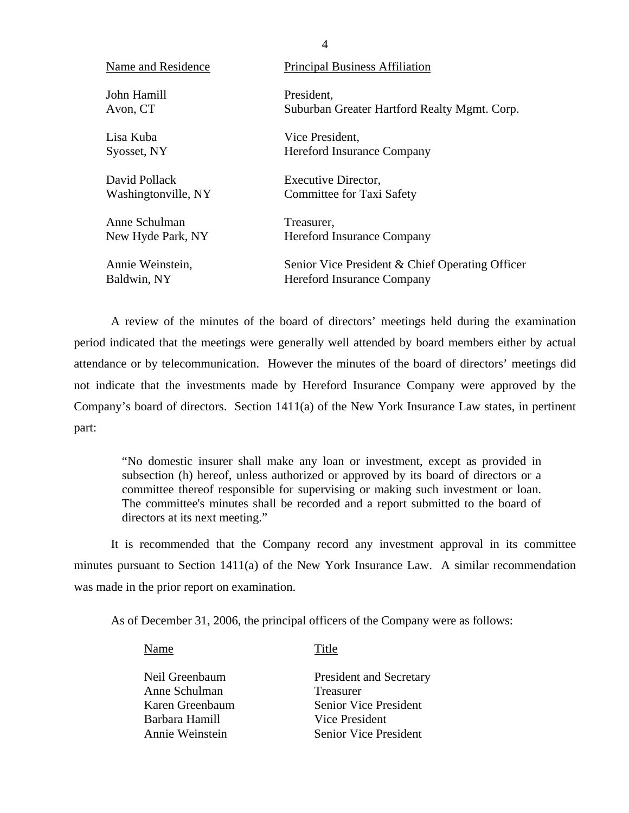| Name and Residence  | <b>Principal Business Affiliation</b>           |
|---------------------|-------------------------------------------------|
| John Hamill         | President,                                      |
| Avon, CT            | Suburban Greater Hartford Realty Mgmt. Corp.    |
| Lisa Kuba           | Vice President,                                 |
| Syosset, NY         | <b>Hereford Insurance Company</b>               |
| David Pollack       | Executive Director,                             |
| Washingtonville, NY | <b>Committee for Taxi Safety</b>                |
| Anne Schulman       | Treasurer,                                      |
| New Hyde Park, NY   | <b>Hereford Insurance Company</b>               |
| Annie Weinstein,    | Senior Vice President & Chief Operating Officer |
| Baldwin, NY         | <b>Hereford Insurance Company</b>               |

A review of the minutes of the board of directors' meetings held during the examination period indicated that the meetings were generally well attended by board members either by actual attendance or by telecommunication. However the minutes of the board of directors' meetings did not indicate that the investments made by Hereford Insurance Company were approved by the Company's board of directors. Section 1411(a) of the New York Insurance Law states, in pertinent part:

"No domestic insurer shall make any loan or investment, except as provided in subsection (h) hereof, unless authorized or approved by its board of directors or a committee thereof responsible for supervising or making such investment or loan. The committee's minutes shall be recorded and a report submitted to the board of directors at its next meeting."

It is recommended that the Company record any investment approval in its committee minutes pursuant to Section  $1411(a)$  of the New York Insurance Law. A similar recommendation was made in the prior report on examination.

As of December 31, 2006, the principal officers of the Company were as follows:

Name Title

| Neil Greenbaum  | President and Secretary      |
|-----------------|------------------------------|
| Anne Schulman   | <b>Treasurer</b>             |
| Karen Greenbaum | <b>Senior Vice President</b> |
| Barbara Hamill  | Vice President               |
| Annie Weinstein | <b>Senior Vice President</b> |
|                 |                              |

4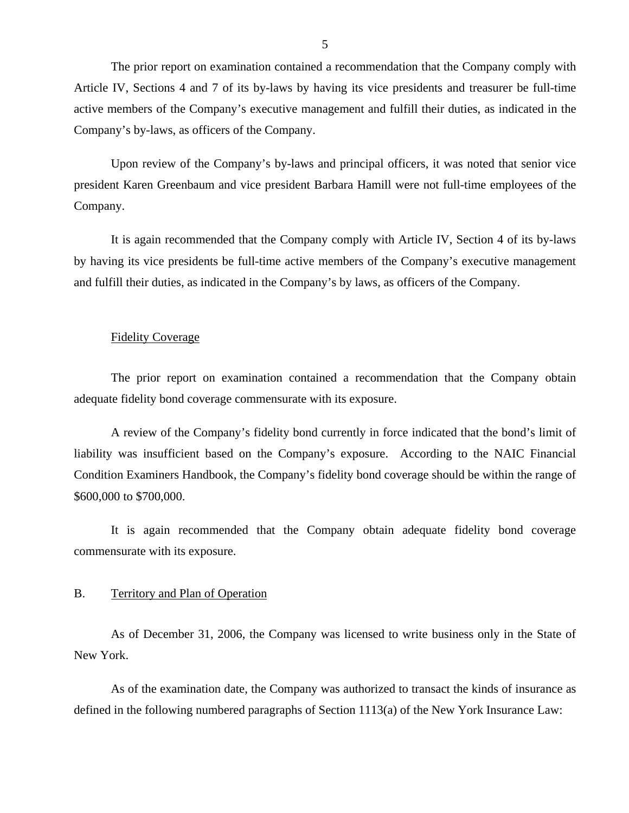<span id="page-6-0"></span>The prior report on examination contained a recommendation that the Company comply with Article IV, Sections 4 and 7 of its by-laws by having its vice presidents and treasurer be full-time active members of the Company's executive management and fulfill their duties, as indicated in the Company's by-laws, as officers of the Company.

Upon review of the Company's by-laws and principal officers, it was noted that senior vice president Karen Greenbaum and vice president Barbara Hamill were not full-time employees of the Company.

It is again recommended that the Company comply with Article IV, Section 4 of its by-laws by having its vice presidents be full-time active members of the Company's executive management and fulfill their duties, as indicated in the Company's by laws, as officers of the Company.

#### Fidelity Coverage

The prior report on examination contained a recommendation that the Company obtain adequate fidelity bond coverage commensurate with its exposure.

A review of the Company's fidelity bond currently in force indicated that the bond's limit of liability was insufficient based on the Company's exposure. According to the NAIC Financial Condition Examiners Handbook, the Company's fidelity bond coverage should be within the range of \$600,000 to \$700,000.

It is again recommended that the Company obtain adequate fidelity bond coverage commensurate with its exposure.

#### B. Territory and Plan of Operation

As of December 31, 2006, the Company was licensed to write business only in the State of New York.

As of the examination date, the Company was authorized to transact the kinds of insurance as defined in the following numbered paragraphs of Section 1113(a) of the New York Insurance Law: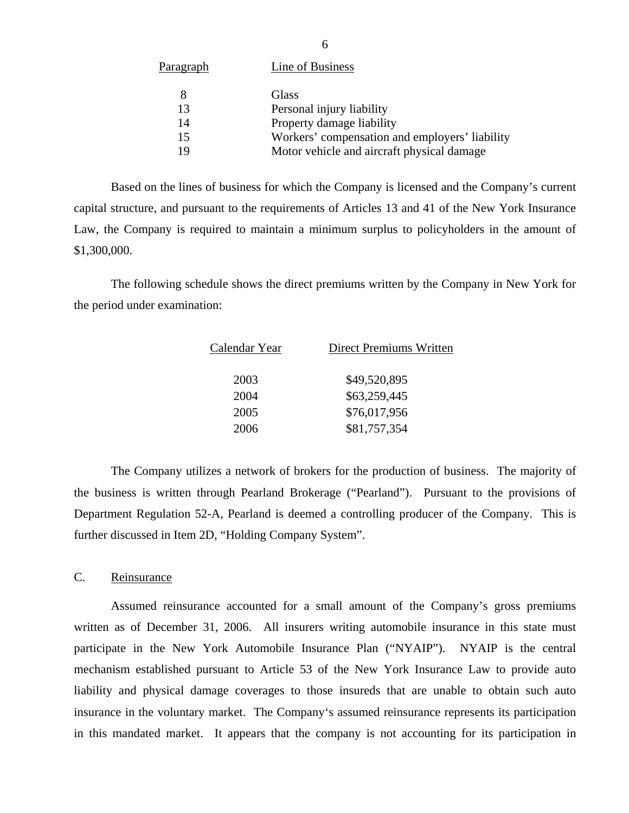<span id="page-7-0"></span>

| Paragraph | Line of Business                               |
|-----------|------------------------------------------------|
| 8         | Glass                                          |
| 13        | Personal injury liability                      |
| 14        | Property damage liability                      |
| 15        | Workers' compensation and employers' liability |
| 19        | Motor vehicle and aircraft physical damage     |
|           |                                                |

Based on the lines of business for which the Company is licensed and the Company's current capital structure, and pursuant to the requirements of Articles 13 and 41 of the New York Insurance Law, the Company is required to maintain a minimum surplus to policyholders in the amount of \$1,300,000.

The following schedule shows the direct premiums written by the Company in New York for the period under examination:

| Calendar Year | <b>Direct Premiums Written</b> |
|---------------|--------------------------------|
| 2003          | \$49,520,895                   |
| 2004          | \$63,259,445                   |
| 2005          | \$76,017,956                   |
| 2006          | \$81,757,354                   |
|               |                                |

The Company utilizes a network of brokers for the production of business. The majority of the business is written through Pearland Brokerage ("Pearland"). Pursuant to the provisions of Department Regulation 52-A, Pearland is deemed a controlling producer of the Company. This is further discussed in Item 2D, "Holding Company System".

#### C. Reinsurance

Assumed reinsurance accounted for a small amount of the Company's gross premiums written as of December 31, 2006. All insurers writing automobile insurance in this state must participate in the New York Automobile Insurance Plan ("NYAIP"). NYAIP is the central mechanism established pursuant to Article 53 of the New York Insurance Law to provide auto liability and physical damage coverages to those insureds that are unable to obtain such auto insurance in the voluntary market. The Company's assumed reinsurance represents its participation in this mandated market. It appears that the company is not accounting for its participation in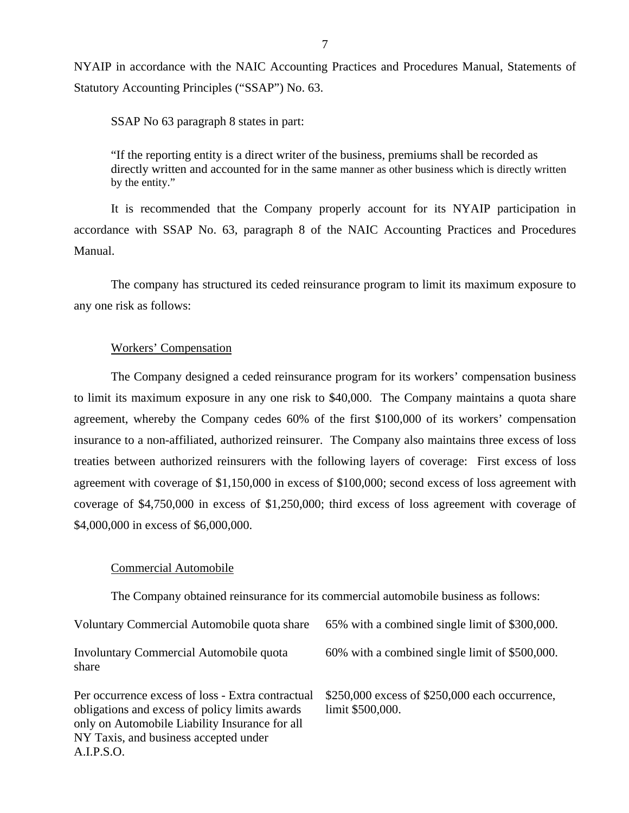NYAIP in accordance with the NAIC Accounting Practices and Procedures Manual, Statements of Statutory Accounting Principles ("SSAP") No. 63.

SSAP No 63 paragraph 8 states in part:

"If the reporting entity is a direct writer of the business, premiums shall be recorded as directly written and accounted for in the same manner as other business which is directly written by the entity."

It is recommended that the Company properly account for its NYAIP participation in accordance with SSAP No. 63, paragraph 8 of the NAIC Accounting Practices and Procedures Manual.

The company has structured its ceded reinsurance program to limit its maximum exposure to any one risk as follows:

## Workers' Compensation

The Company designed a ceded reinsurance program for its workers' compensation business to limit its maximum exposure in any one risk to \$40,000. The Company maintains a quota share agreement, whereby the Company cedes 60% of the first \$100,000 of its workers' compensation insurance to a non-affiliated, authorized reinsurer. The Company also maintains three excess of loss treaties between authorized reinsurers with the following layers of coverage: First excess of loss agreement with coverage of \$1,150,000 in excess of \$100,000; second excess of loss agreement with coverage of \$4,750,000 in excess of \$1,250,000; third excess of loss agreement with coverage of \$4,000,000 in excess of \$6,000,000.

#### Commercial Automobile

A.I.P.S.O.

The Company obtained reinsurance for its commercial automobile business as follows:

| Voluntary Commercial Automobile quota share                                                                                                                                                    | 65% with a combined single limit of \$300,000.                     |
|------------------------------------------------------------------------------------------------------------------------------------------------------------------------------------------------|--------------------------------------------------------------------|
| <b>Involuntary Commercial Automobile quota</b><br>share                                                                                                                                        | 60% with a combined single limit of \$500,000.                     |
| Per occurrence excess of loss - Extra contractual<br>obligations and excess of policy limits awards<br>only on Automobile Liability Insurance for all<br>NY Taxis, and business accepted under | \$250,000 excess of \$250,000 each occurrence,<br>limit \$500,000. |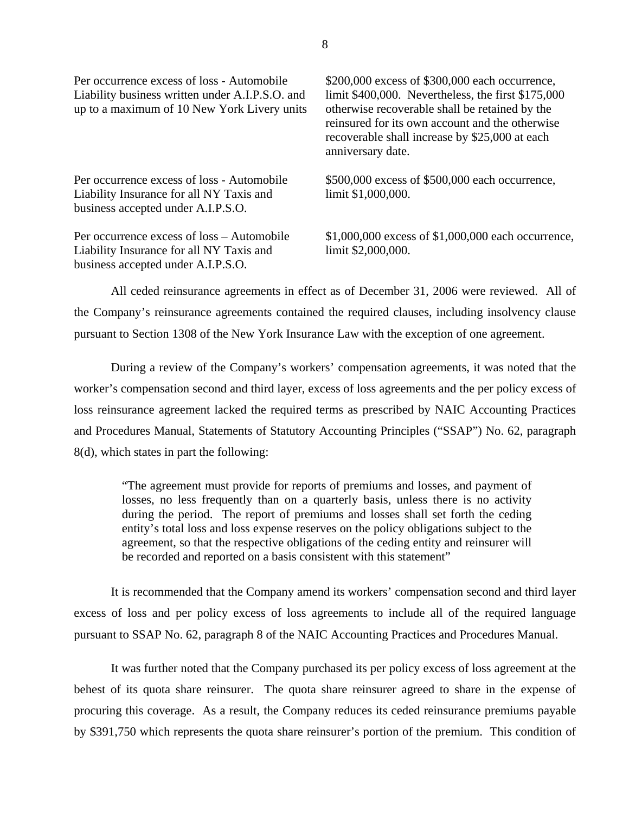up to a maximum of 10 New York Livery units otherwise recoverable shall be retained by the

Liability Insurance for all NY Taxis and limit \$1,000,000. business accepted under A.I.P.S.O.

Liability Insurance for all NY Taxis and limit \$2,000,000. business accepted under A.I.P.S.O.

Per occurrence excess of loss - Automobile \$200,000 excess of \$300,000 each occurrence, Liability business written under A.I.P.S.O. and limit \$400,000. Nevertheless, the first \$175,000 reinsured for its own account and the otherwise recoverable shall increase by \$25,000 at each anniversary date.

Per occurrence excess of loss - Automobile \$500,000 excess of \$500,000 each occurrence,

Per occurrence excess of loss – Automobile \$1,000,000 excess of \$1,000,000 each occurrence,

All ceded reinsurance agreements in effect as of December 31, 2006 were reviewed. All of the Company's reinsurance agreements contained the required clauses, including insolvency clause pursuant to Section 1308 of the New York Insurance Law with the exception of one agreement.

During a review of the Company's workers' compensation agreements, it was noted that the worker's compensation second and third layer, excess of loss agreements and the per policy excess of loss reinsurance agreement lacked the required terms as prescribed by NAIC Accounting Practices and Procedures Manual, Statements of Statutory Accounting Principles ("SSAP") No. 62, paragraph 8(d), which states in part the following:

"The agreement must provide for reports of premiums and losses, and payment of losses, no less frequently than on a quarterly basis, unless there is no activity during the period. The report of premiums and losses shall set forth the ceding entity's total loss and loss expense reserves on the policy obligations subject to the agreement, so that the respective obligations of the ceding entity and reinsurer will be recorded and reported on a basis consistent with this statement"

It is recommended that the Company amend its workers' compensation second and third layer excess of loss and per policy excess of loss agreements to include all of the required language pursuant to SSAP No. 62, paragraph 8 of the NAIC Accounting Practices and Procedures Manual.

It was further noted that the Company purchased its per policy excess of loss agreement at the behest of its quota share reinsurer. The quota share reinsurer agreed to share in the expense of procuring this coverage. As a result, the Company reduces its ceded reinsurance premiums payable by \$391,750 which represents the quota share reinsurer's portion of the premium. This condition of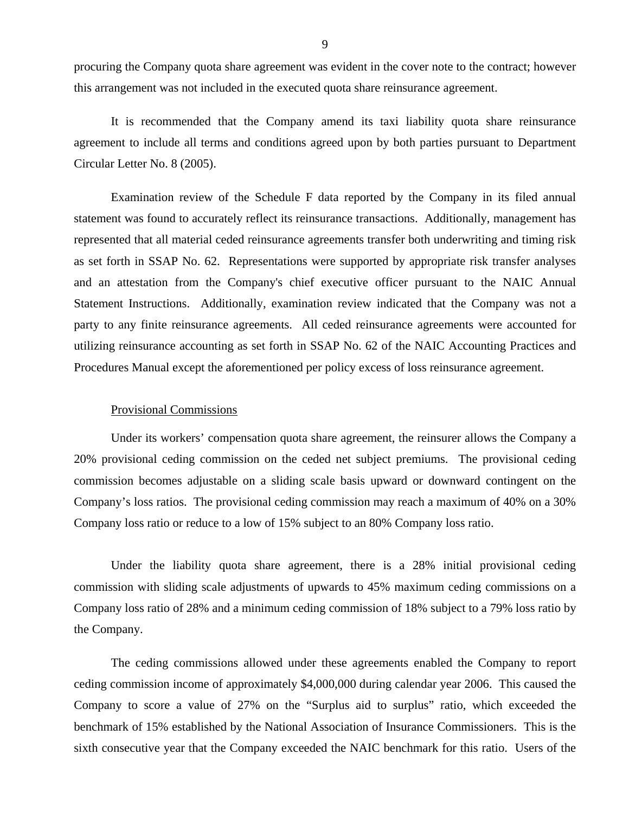procuring the Company quota share agreement was evident in the cover note to the contract; however this arrangement was not included in the executed quota share reinsurance agreement.

It is recommended that the Company amend its taxi liability quota share reinsurance agreement to include all terms and conditions agreed upon by both parties pursuant to Department Circular Letter No. 8 (2005).

Examination review of the Schedule F data reported by the Company in its filed annual statement was found to accurately reflect its reinsurance transactions. Additionally, management has represented that all material ceded reinsurance agreements transfer both underwriting and timing risk as set forth in SSAP No. 62. Representations were supported by appropriate risk transfer analyses and an attestation from the Company's chief executive officer pursuant to the NAIC Annual Statement Instructions. Additionally, examination review indicated that the Company was not a party to any finite reinsurance agreements. All ceded reinsurance agreements were accounted for utilizing reinsurance accounting as set forth in SSAP No. 62 of the NAIC Accounting Practices and Procedures Manual except the aforementioned per policy excess of loss reinsurance agreement.

#### Provisional Commissions

Under its workers' compensation quota share agreement, the reinsurer allows the Company a 20% provisional ceding commission on the ceded net subject premiums. The provisional ceding commission becomes adjustable on a sliding scale basis upward or downward contingent on the Company's loss ratios. The provisional ceding commission may reach a maximum of 40% on a 30% Company loss ratio or reduce to a low of 15% subject to an 80% Company loss ratio.

Under the liability quota share agreement, there is a 28% initial provisional ceding commission with sliding scale adjustments of upwards to 45% maximum ceding commissions on a Company loss ratio of 28% and a minimum ceding commission of 18% subject to a 79% loss ratio by the Company.

The ceding commissions allowed under these agreements enabled the Company to report ceding commission income of approximately \$4,000,000 during calendar year 2006. This caused the Company to score a value of 27% on the "Surplus aid to surplus" ratio, which exceeded the benchmark of 15% established by the National Association of Insurance Commissioners. This is the sixth consecutive year that the Company exceeded the NAIC benchmark for this ratio. Users of the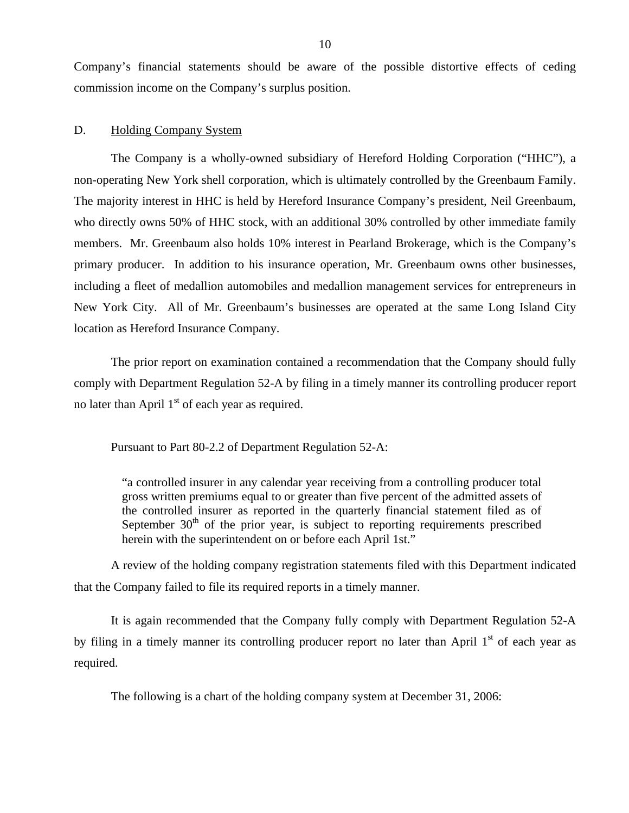<span id="page-11-0"></span>Company's financial statements should be aware of the possible distortive effects of ceding commission income on the Company's surplus position.

#### D. Holding Company System

The Company is a wholly-owned subsidiary of Hereford Holding Corporation ("HHC"), a non-operating New York shell corporation, which is ultimately controlled by the Greenbaum Family. The majority interest in HHC is held by Hereford Insurance Company's president, Neil Greenbaum, who directly owns 50% of HHC stock, with an additional 30% controlled by other immediate family members. Mr. Greenbaum also holds 10% interest in Pearland Brokerage, which is the Company's primary producer. In addition to his insurance operation, Mr. Greenbaum owns other businesses, including a fleet of medallion automobiles and medallion management services for entrepreneurs in New York City. All of Mr. Greenbaum's businesses are operated at the same Long Island City location as Hereford Insurance Company.

The prior report on examination contained a recommendation that the Company should fully comply with Department Regulation 52-A by filing in a timely manner its controlling producer report no later than April  $1<sup>st</sup>$  of each year as required.

Pursuant to Part 80-2.2 of Department Regulation 52-A:

"a controlled insurer in any calendar year receiving from a controlling producer total gross written premiums equal to or greater than five percent of the admitted assets of the controlled insurer as reported in the quarterly financial statement filed as of September  $30<sup>th</sup>$  of the prior year, is subject to reporting requirements prescribed herein with the superintendent on or before each April 1st."

A review of the holding company registration statements filed with this Department indicated that the Company failed to file its required reports in a timely manner.

It is again recommended that the Company fully comply with Department Regulation 52-A by filing in a timely manner its controlling producer report no later than April  $1<sup>st</sup>$  of each year as required.

The following is a chart of the holding company system at December 31, 2006: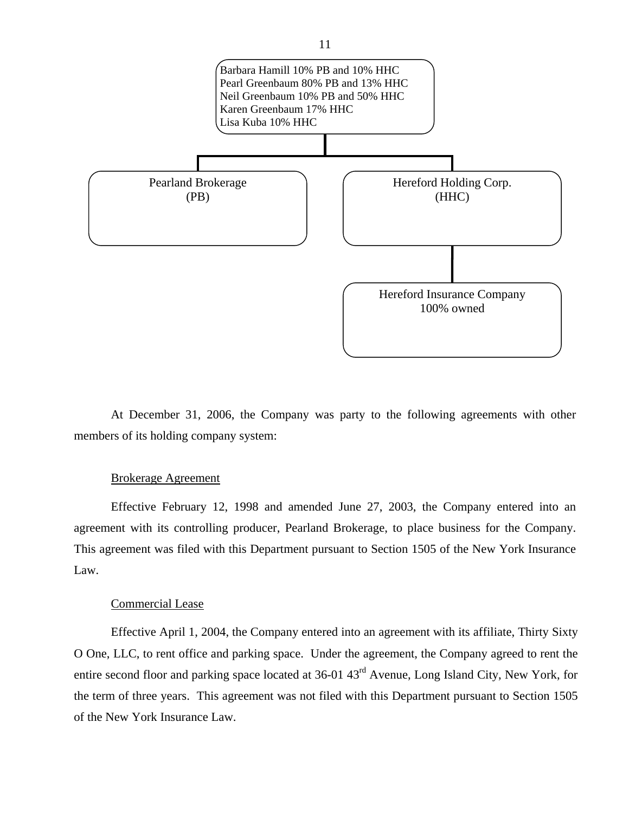

At December 31, 2006, the Company was party to the following agreements with other members of its holding company system:

## Brokerage Agreement

Effective February 12, 1998 and amended June 27, 2003, the Company entered into an agreement with its controlling producer, Pearland Brokerage, to place business for the Company. This agreement was filed with this Department pursuant to Section 1505 of the New York Insurance Law.

# Commercial Lease

Effective April 1, 2004, the Company entered into an agreement with its affiliate, Thirty Sixty O One, LLC, to rent office and parking space. Under the agreement, the Company agreed to rent the entire second floor and parking space located at 36-01 43rd Avenue, Long Island City, New York, for the term of three years. This agreement was not filed with this Department pursuant to Section 1505 of the New York Insurance Law.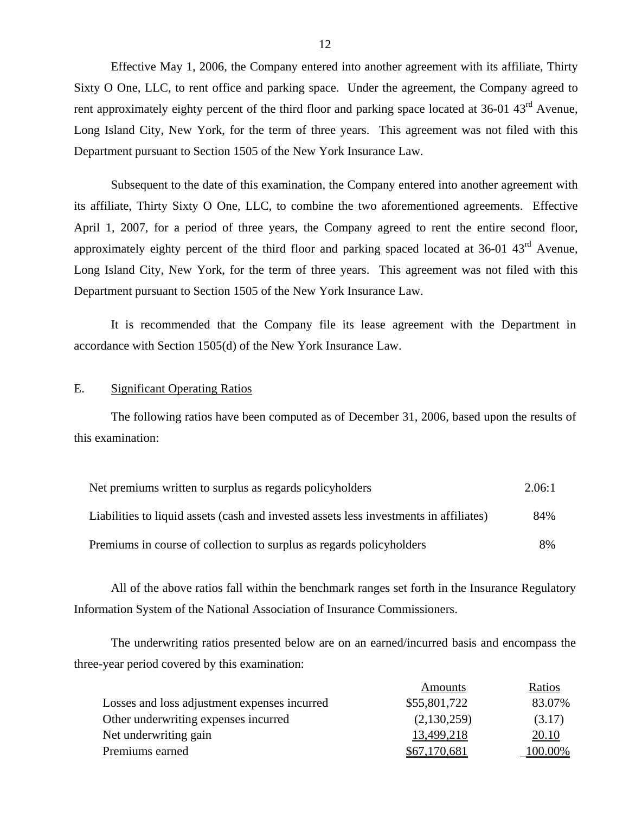Effective May 1, 2006, the Company entered into another agreement with its affiliate, Thirty Sixty O One, LLC, to rent office and parking space. Under the agreement, the Company agreed to rent approximately eighty percent of the third floor and parking space located at 36-01 43<sup>rd</sup> Avenue, Long Island City, New York, for the term of three years. This agreement was not filed with this Department pursuant to Section 1505 of the New York Insurance Law.

Subsequent to the date of this examination, the Company entered into another agreement with its affiliate, Thirty Sixty O One, LLC, to combine the two aforementioned agreements. Effective April 1, 2007, for a period of three years, the Company agreed to rent the entire second floor, approximately eighty percent of the third floor and parking spaced located at  $36{\text -}01$   $43^{\text{rd}}$  Avenue, Long Island City, New York, for the term of three years. This agreement was not filed with this Department pursuant to Section 1505 of the New York Insurance Law.

It is recommended that the Company file its lease agreement with the Department in accordance with Section 1505(d) of the New York Insurance Law.

## E. Significant Operating Ratios

The following ratios have been computed as of December 31, 2006, based upon the results of this examination:

| Net premiums written to surplus as regards policyholders                               | 2.06:1 |
|----------------------------------------------------------------------------------------|--------|
| Liabilities to liquid assets (cash and invested assets less investments in affiliates) | 84%    |
| Premiums in course of collection to surplus as regards policyholders                   | 8%     |

All of the above ratios fall within the benchmark ranges set forth in the Insurance Regulatory Information System of the National Association of Insurance Commissioners.

The underwriting ratios presented below are on an earned/incurred basis and encompass the three-year period covered by this examination:

|                                              | Amounts      | Ratios  |
|----------------------------------------------|--------------|---------|
| Losses and loss adjustment expenses incurred | \$55,801,722 | 83.07%  |
| Other underwriting expenses incurred         | (2,130,259)  | (3.17)  |
| Net underwriting gain                        | 13,499,218   | 20.10   |
| Premiums earned                              | \$67,170,681 | 100.00% |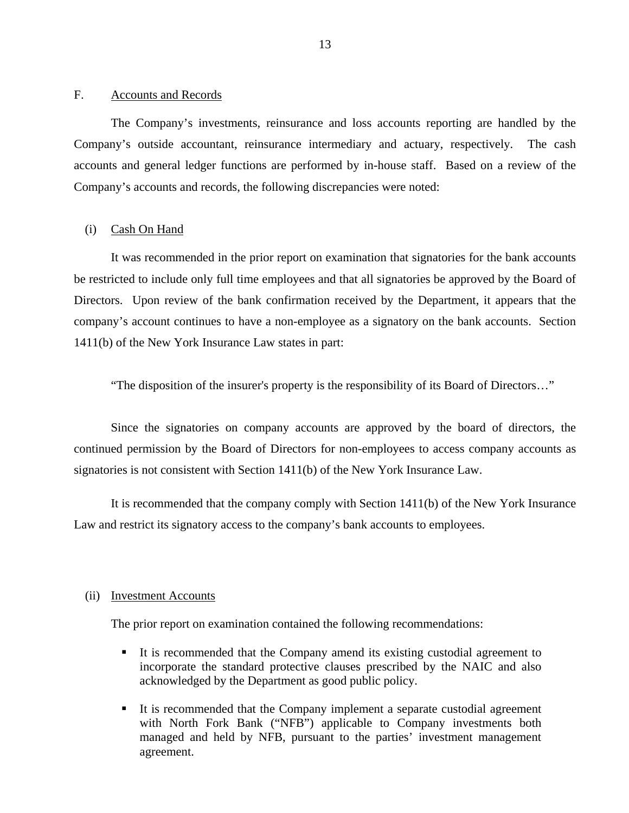#### <span id="page-14-0"></span>F. Accounts and Records

The Company's investments, reinsurance and loss accounts reporting are handled by the Company's outside accountant, reinsurance intermediary and actuary, respectively. The cash accounts and general ledger functions are performed by in-house staff. Based on a review of the Company's accounts and records, the following discrepancies were noted:

#### (i) Cash On Hand

It was recommended in the prior report on examination that signatories for the bank accounts be restricted to include only full time employees and that all signatories be approved by the Board of Directors. Upon review of the bank confirmation received by the Department, it appears that the company's account continues to have a non-employee as a signatory on the bank accounts. Section 1411(b) of the New York Insurance Law states in part:

"The disposition of the insurer's property is the responsibility of its Board of Directors…"

Since the signatories on company accounts are approved by the board of directors, the continued permission by the Board of Directors for non-employees to access company accounts as signatories is not consistent with Section 1411(b) of the New York Insurance Law.

It is recommended that the company comply with Section 1411(b) of the New York Insurance Law and restrict its signatory access to the company's bank accounts to employees.

#### (ii) Investment Accounts

The prior report on examination contained the following recommendations:

- It is recommended that the Company amend its existing custodial agreement to incorporate the standard protective clauses prescribed by the NAIC and also acknowledged by the Department as good public policy.
- It is recommended that the Company implement a separate custodial agreement with North Fork Bank ("NFB") applicable to Company investments both managed and held by NFB, pursuant to the parties' investment management agreement.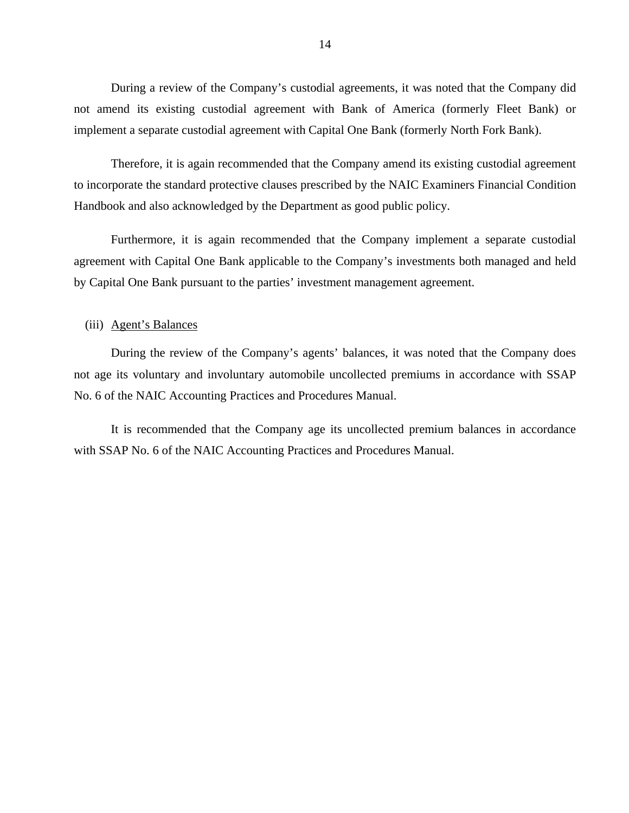During a review of the Company's custodial agreements, it was noted that the Company did not amend its existing custodial agreement with Bank of America (formerly Fleet Bank) or implement a separate custodial agreement with Capital One Bank (formerly North Fork Bank).

Therefore, it is again recommended that the Company amend its existing custodial agreement to incorporate the standard protective clauses prescribed by the NAIC Examiners Financial Condition Handbook and also acknowledged by the Department as good public policy.

Furthermore, it is again recommended that the Company implement a separate custodial agreement with Capital One Bank applicable to the Company's investments both managed and held by Capital One Bank pursuant to the parties' investment management agreement.

## (iii) Agent's Balances

During the review of the Company's agents' balances, it was noted that the Company does not age its voluntary and involuntary automobile uncollected premiums in accordance with SSAP No. 6 of the NAIC Accounting Practices and Procedures Manual.

It is recommended that the Company age its uncollected premium balances in accordance with SSAP No. 6 of the NAIC Accounting Practices and Procedures Manual.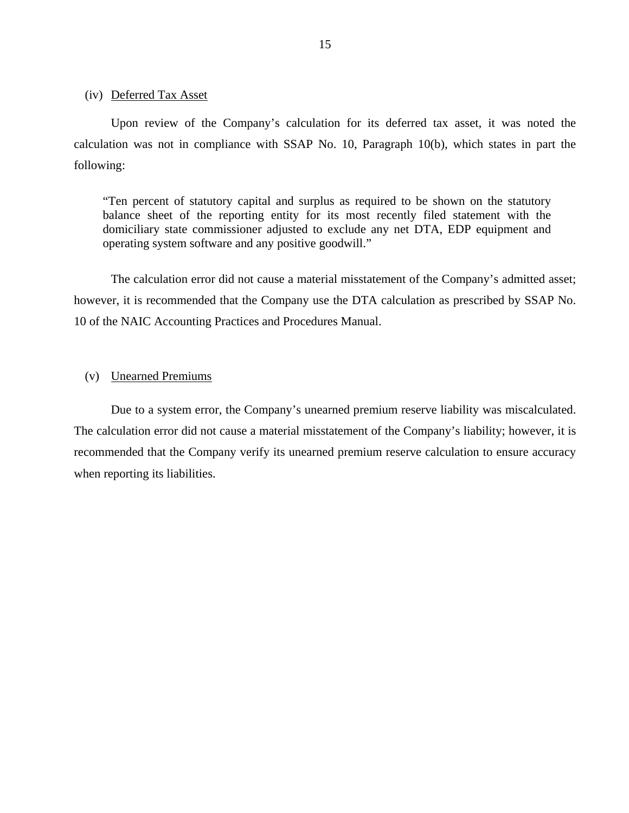#### (iv) Deferred Tax Asset

Upon review of the Company's calculation for its deferred tax asset, it was noted the calculation was not in compliance with SSAP No. 10, Paragraph 10(b), which states in part the following:

"Ten percent of statutory capital and surplus as required to be shown on the statutory balance sheet of the reporting entity for its most recently filed statement with the domiciliary state commissioner adjusted to exclude any net DTA, EDP equipment and operating system software and any positive goodwill."

The calculation error did not cause a material misstatement of the Company's admitted asset; however, it is recommended that the Company use the DTA calculation as prescribed by SSAP No. 10 of the NAIC Accounting Practices and Procedures Manual.

# (v) Unearned Premiums

Due to a system error, the Company's unearned premium reserve liability was miscalculated. The calculation error did not cause a material misstatement of the Company's liability; however, it is recommended that the Company verify its unearned premium reserve calculation to ensure accuracy when reporting its liabilities.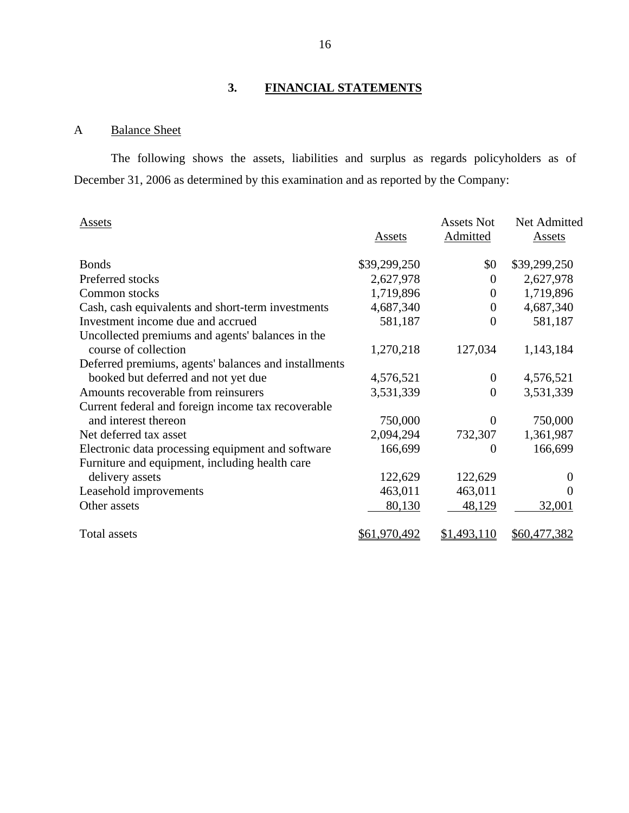# **3. FINANCIAL STATEMENTS**

# A Balance Sheet

The following shows the assets, liabilities and surplus as regards policyholders as of December 31, 2006 as determined by this examination and as reported by the Company:

| <b>Assets</b>                                        |              | <b>Assets Not</b>  | Net Admitted     |
|------------------------------------------------------|--------------|--------------------|------------------|
|                                                      | Assets       | Admitted           | Assets           |
| <b>Bonds</b>                                         | \$39,299,250 | \$0                | \$39,299,250     |
| Preferred stocks                                     | 2,627,978    | $\boldsymbol{0}$   | 2,627,978        |
| Common stocks                                        | 1,719,896    | $\boldsymbol{0}$   | 1,719,896        |
| Cash, cash equivalents and short-term investments    | 4,687,340    | $\Omega$           | 4,687,340        |
| Investment income due and accrued                    | 581,187      | 0                  | 581,187          |
| Uncollected premiums and agents' balances in the     |              |                    |                  |
| course of collection                                 | 1,270,218    | 127,034            | 1,143,184        |
| Deferred premiums, agents' balances and installments |              |                    |                  |
| booked but deferred and not yet due                  | 4,576,521    | $\theta$           | 4,576,521        |
| Amounts recoverable from reinsurers                  | 3,531,339    | $\boldsymbol{0}$   | 3,531,339        |
| Current federal and foreign income tax recoverable   |              |                    |                  |
| and interest thereon                                 | 750,000      | $\overline{0}$     | 750,000          |
| Net deferred tax asset                               | 2,094,294    | 732,307            | 1,361,987        |
| Electronic data processing equipment and software    | 166,699      | 0                  | 166,699          |
| Furniture and equipment, including health care       |              |                    |                  |
| delivery assets                                      | 122,629      | 122,629            | $\boldsymbol{0}$ |
| Leasehold improvements                               | 463,011      | 463,011            | $\Omega$         |
| Other assets                                         | 80,130       | 48,129             | 32,001           |
| <b>Total assets</b>                                  | \$61,970,492 | <u>\$1,493,110</u> | \$60,477,382     |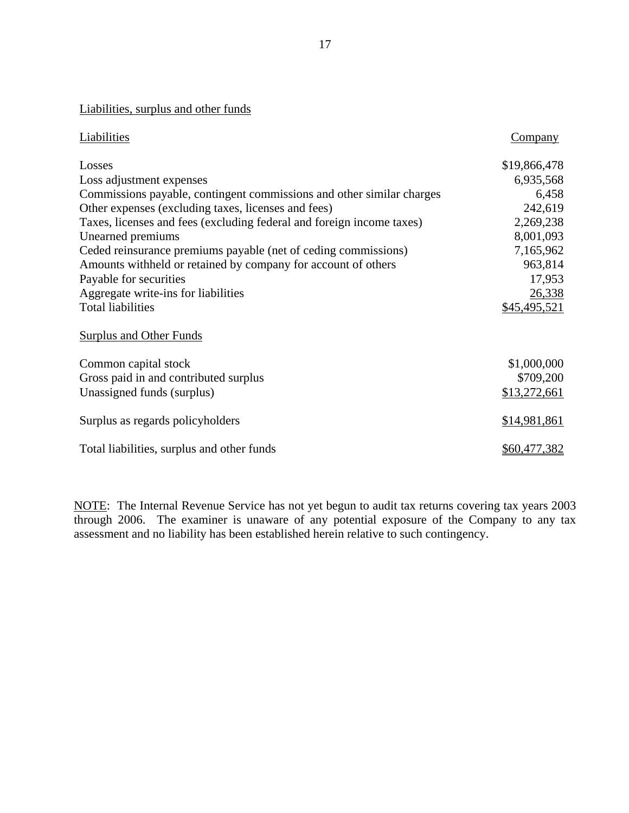# Liabilities, surplus and other funds

| Liabilities                                                           | <b>Company</b> |
|-----------------------------------------------------------------------|----------------|
| Losses                                                                | \$19,866,478   |
| Loss adjustment expenses                                              | 6,935,568      |
| Commissions payable, contingent commissions and other similar charges | 6,458          |
| Other expenses (excluding taxes, licenses and fees)                   | 242,619        |
| Taxes, licenses and fees (excluding federal and foreign income taxes) | 2,269,238      |
| Unearned premiums                                                     | 8,001,093      |
| Ceded reinsurance premiums payable (net of ceding commissions)        | 7,165,962      |
| Amounts withheld or retained by company for account of others         | 963,814        |
| Payable for securities                                                | 17,953         |
| Aggregate write-ins for liabilities                                   | 26,338         |
| <b>Total liabilities</b>                                              | \$45,495,521   |
| Surplus and Other Funds                                               |                |
| Common capital stock                                                  | \$1,000,000    |
| Gross paid in and contributed surplus                                 | \$709,200      |
| Unassigned funds (surplus)                                            | \$13,272,661   |
| Surplus as regards policyholders                                      | \$14,981,861   |
| Total liabilities, surplus and other funds                            | \$60,477,382   |

NOTE: The Internal Revenue Service has not yet begun to audit tax returns covering tax years 2003 through 2006. The examiner is unaware of any potential exposure of the Company to any tax assessment and no liability has been established herein relative to such contingency.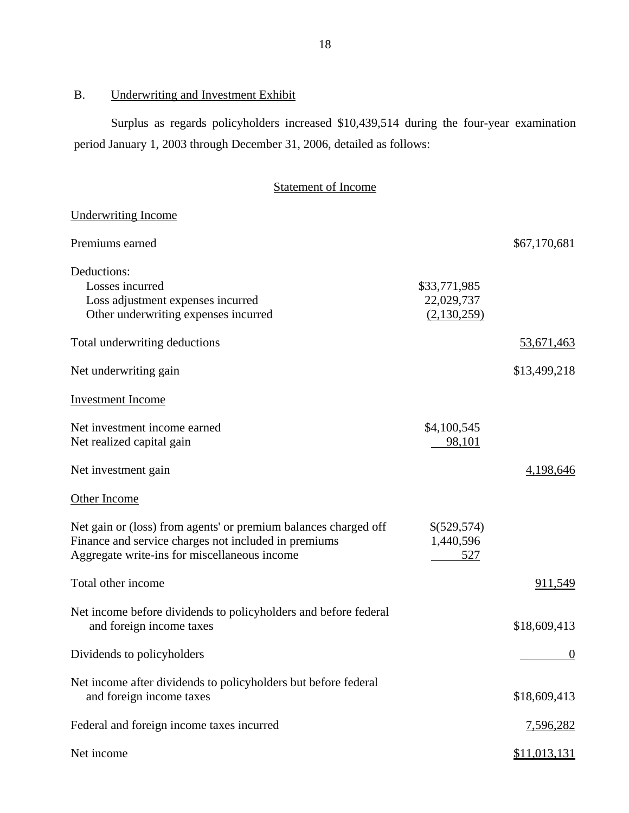# B. Underwriting and Investment Exhibit

Surplus as regards policyholders increased \$10,439,514 during the four-year examination period January 1, 2003 through December 31, 2006, detailed as follows:

# Statement of Income

| <b>Underwriting Income</b>                                                                                                                                              |                                           |                  |
|-------------------------------------------------------------------------------------------------------------------------------------------------------------------------|-------------------------------------------|------------------|
| Premiums earned                                                                                                                                                         |                                           | \$67,170,681     |
| Deductions:<br>Losses incurred<br>Loss adjustment expenses incurred<br>Other underwriting expenses incurred                                                             | \$33,771,985<br>22,029,737<br>(2,130,259) |                  |
| Total underwriting deductions                                                                                                                                           |                                           | 53,671,463       |
| Net underwriting gain                                                                                                                                                   |                                           | \$13,499,218     |
| <b>Investment Income</b>                                                                                                                                                |                                           |                  |
| Net investment income earned<br>Net realized capital gain                                                                                                               | \$4,100,545<br>98,101                     |                  |
| Net investment gain                                                                                                                                                     |                                           | 4,198,646        |
| Other Income                                                                                                                                                            |                                           |                  |
| Net gain or (loss) from agents' or premium balances charged off<br>Finance and service charges not included in premiums<br>Aggregate write-ins for miscellaneous income | \$(529,574)<br>1,440,596<br>527           |                  |
| Total other income                                                                                                                                                      |                                           | 911,549          |
| Net income before dividends to policyholders and before federal<br>and foreign income taxes                                                                             |                                           | \$18,609,413     |
| Dividends to policyholders                                                                                                                                              |                                           | $\theta$         |
| Net income after dividends to policyholders but before federal<br>and foreign income taxes                                                                              |                                           | \$18,609,413     |
| Federal and foreign income taxes incurred                                                                                                                               |                                           | <u>7,596,282</u> |
| Net income                                                                                                                                                              |                                           | \$11,013,131     |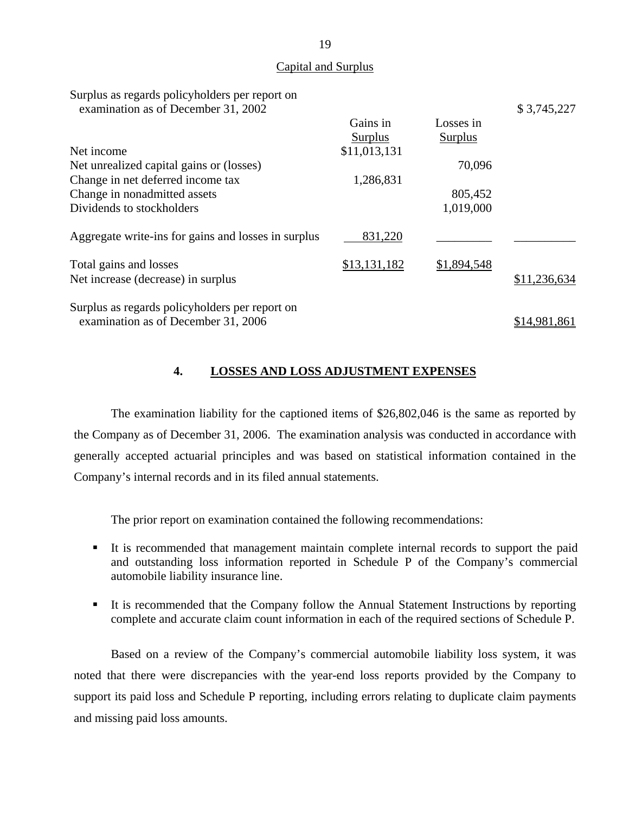#### Capital and Surplus

<span id="page-20-0"></span>

| Surplus as regards policyholders per report on<br>examination as of December 31, 2002 |              |                | \$3,745,227  |
|---------------------------------------------------------------------------------------|--------------|----------------|--------------|
|                                                                                       | Gains in     | Losses in      |              |
|                                                                                       | Surplus      | <b>Surplus</b> |              |
| Net income                                                                            | \$11,013,131 |                |              |
| Net unrealized capital gains or (losses)                                              |              | 70,096         |              |
| Change in net deferred income tax                                                     | 1,286,831    |                |              |
| Change in nonadmitted assets                                                          |              | 805,452        |              |
| Dividends to stockholders                                                             |              | 1,019,000      |              |
| Aggregate write-ins for gains and losses in surplus                                   | 831,220      |                |              |
| Total gains and losses                                                                | \$13,131,182 | \$1,894,548    |              |
| Net increase (decrease) in surplus                                                    |              |                | \$11,236,634 |
| Surplus as regards policyholders per report on                                        |              |                |              |
| examination as of December 31, 2006                                                   |              |                | \$14,981,861 |

# **4. LOSSES AND LOSS ADJUSTMENT EXPENSES**

The examination liability for the captioned items of \$26,802,046 is the same as reported by the Company as of December 31, 2006. The examination analysis was conducted in accordance with generally accepted actuarial principles and was based on statistical information contained in the Company's internal records and in its filed annual statements.

The prior report on examination contained the following recommendations:

- It is recommended that management maintain complete internal records to support the paid and outstanding loss information reported in Schedule P of the Company's commercial automobile liability insurance line.
- It is recommended that the Company follow the Annual Statement Instructions by reporting complete and accurate claim count information in each of the required sections of Schedule P.

Based on a review of the Company's commercial automobile liability loss system, it was noted that there were discrepancies with the year-end loss reports provided by the Company to support its paid loss and Schedule P reporting, including errors relating to duplicate claim payments and missing paid loss amounts.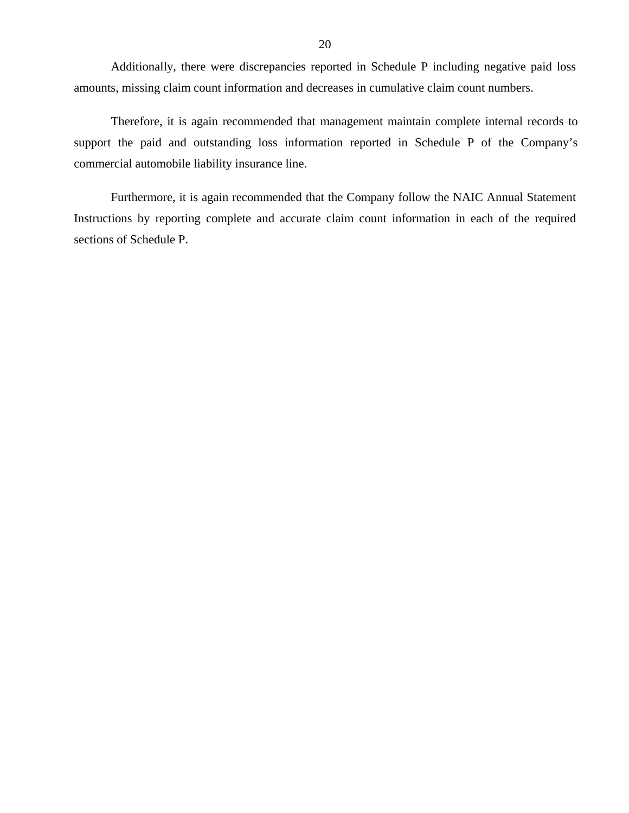Additionally, there were discrepancies reported in Schedule P including negative paid loss amounts, missing claim count information and decreases in cumulative claim count numbers.

Therefore, it is again recommended that management maintain complete internal records to support the paid and outstanding loss information reported in Schedule P of the Company's commercial automobile liability insurance line.

Furthermore, it is again recommended that the Company follow the NAIC Annual Statement Instructions by reporting complete and accurate claim count information in each of the required sections of Schedule P.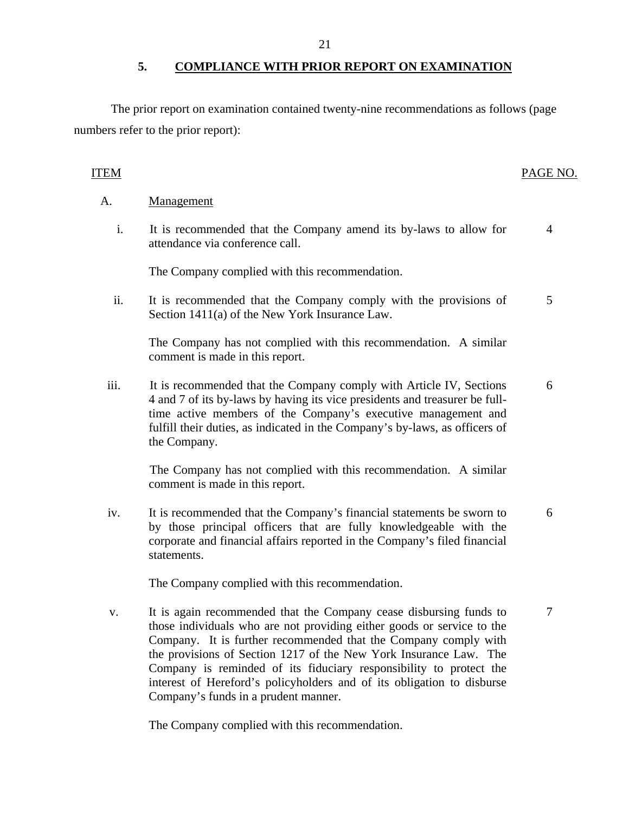# **5. COMPLIANCE WITH PRIOR REPORT ON EXAMINATION**

<span id="page-22-0"></span>The prior report on examination contained twenty-nine recommendations as follows (page numbers refer to the prior report):

# ITEM PAGE NO.

# A. Management

i. It is recommended that the Company amend its by-laws to allow for attendance via conference call. 4

The Company complied with this recommendation.

ii. It is recommended that the Company comply with the provisions of Section 1411(a) of the New York Insurance Law. 5

The Company has not complied with this recommendation. A similar comment is made in this report.

iii. It is recommended that the Company comply with Article IV, Sections 4 and 7 of its by-laws by having its vice presidents and treasurer be fulltime active members of the Company's executive management and fulfill their duties, as indicated in the Company's by-laws, as officers of the Company. 6

The Company has not complied with this recommendation. A similar comment is made in this report.

iv. It is recommended that the Company's financial statements be sworn to by those principal officers that are fully knowledgeable with the corporate and financial affairs reported in the Company's filed financial statements. 6

The Company complied with this recommendation.

v. It is again recommended that the Company cease disbursing funds to those individuals who are not providing either goods or service to the Company. It is further recommended that the Company comply with the provisions of Section 1217 of the New York Insurance Law. The Company is reminded of its fiduciary responsibility to protect the interest of Hereford's policyholders and of its obligation to disburse Company's funds in a prudent manner. 7

The Company complied with this recommendation.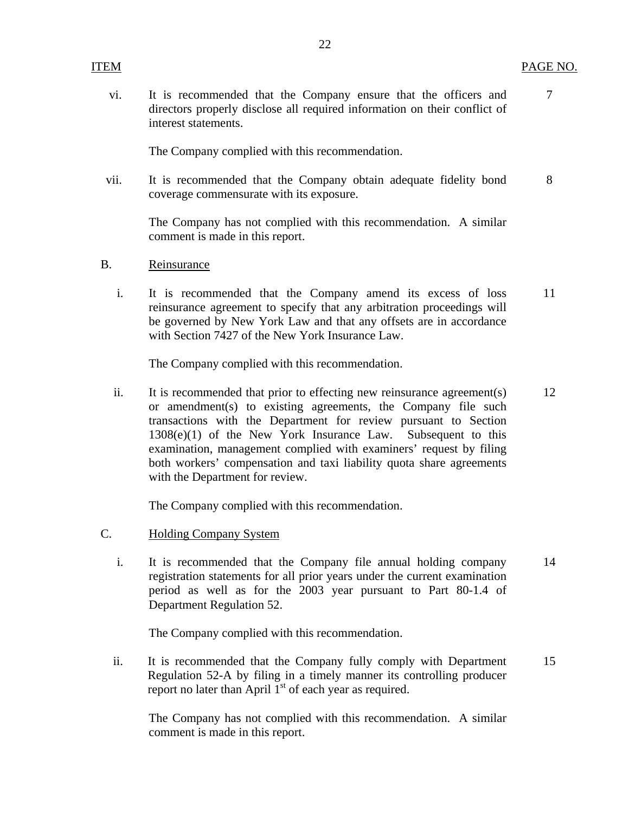vi. It is recommended that the Company ensure that the officers and 7 directors properly disclose all required information on their conflict of interest statements.

The Company complied with this recommendation.

vii. It is recommended that the Company obtain adequate fidelity bond 8 coverage commensurate with its exposure.

The Company has not complied with this recommendation. A similar comment is made in this report.

- B. Reinsurance
	- i. It is recommended that the Company amend its excess of loss 11 reinsurance agreement to specify that any arbitration proceedings will be governed by New York Law and that any offsets are in accordance with Section 7427 of the New York Insurance Law.

The Company complied with this recommendation.

ii. It is recommended that prior to effecting new reinsurance agreement(s) 12 or amendment(s) to existing agreements, the Company file such transactions with the Department for review pursuant to Section 1308(e)(1) of the New York Insurance Law. Subsequent to this examination, management complied with examiners' request by filing both workers' compensation and taxi liability quota share agreements with the Department for review.

The Company complied with this recommendation.

- C. Holding Company System
	- i. It is recommended that the Company file annual holding company 14 registration statements for all prior years under the current examination period as well as for the 2003 year pursuant to Part 80-1.4 of Department Regulation 52.

The Company complied with this recommendation.

ii. It is recommended that the Company fully comply with Department 15 Regulation 52-A by filing in a timely manner its controlling producer report no later than April  $1<sup>st</sup>$  of each year as required.

The Company has not complied with this recommendation. A similar comment is made in this report.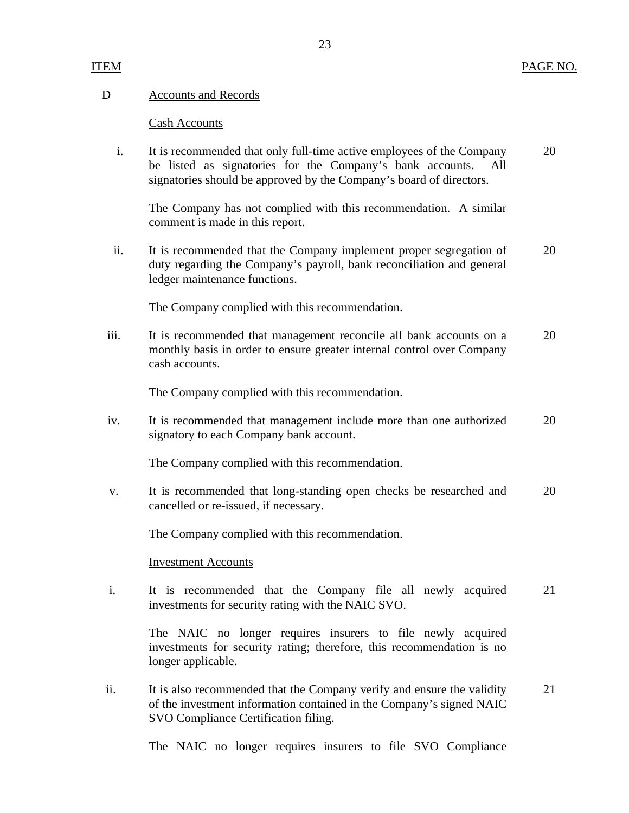## D Accounts and Records

#### Cash Accounts

 i. It is recommended that only full-time active employees of the Company 20 be listed as signatories for the Company's bank accounts. signatories should be approved by the Company's board of directors.

The Company has not complied with this recommendation. A similar comment is made in this report.

ii. It is recommended that the Company implement proper segregation of 20 duty regarding the Company's payroll, bank reconciliation and general ledger maintenance functions.

The Company complied with this recommendation.

iii. It is recommended that management reconcile all bank accounts on a 20 monthly basis in order to ensure greater internal control over Company cash accounts.

The Company complied with this recommendation.

iv. It is recommended that management include more than one authorized 20 signatory to each Company bank account.

The Company complied with this recommendation.

v. It is recommended that long-standing open checks be researched and 20 cancelled or re-issued, if necessary.

The Company complied with this recommendation.

#### Investment Accounts

i. It is recommended that the Company file all newly acquired 21 investments for security rating with the NAIC SVO.

The NAIC no longer requires insurers to file newly acquired investments for security rating; therefore, this recommendation is no longer applicable.

ii. It is also recommended that the Company verify and ensure the validity 21 of the investment information contained in the Company's signed NAIC SVO Compliance Certification filing.

The NAIC no longer requires insurers to file SVO Compliance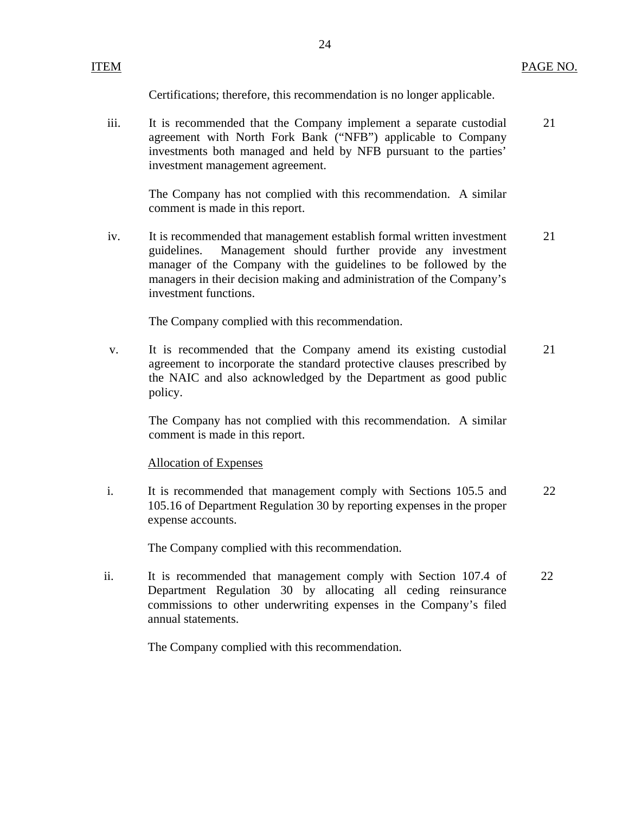Certifications; therefore, this recommendation is no longer applicable.

iii. It is recommended that the Company implement a separate custodial agreement with North Fork Bank ("NFB") applicable to Company investments both managed and held by NFB pursuant to the parties' investment management agreement. 21

The Company has not complied with this recommendation. A similar comment is made in this report.

iv. It is recommended that management establish formal written investment guidelines. Management should further provide any investment manager of the Company with the guidelines to be followed by the managers in their decision making and administration of the Company's investment functions. 21

The Company complied with this recommendation.

v. It is recommended that the Company amend its existing custodial agreement to incorporate the standard protective clauses prescribed by the NAIC and also acknowledged by the Department as good public policy. 21

The Company has not complied with this recommendation. A similar comment is made in this report.

## Allocation of Expenses

 i. It is recommended that management comply with Sections 105.5 and 105.16 of Department Regulation 30 by reporting expenses in the proper expense accounts. 22

The Company complied with this recommendation.

ii. It is recommended that management comply with Section 107.4 of Department Regulation 30 by allocating all ceding reinsurance commissions to other underwriting expenses in the Company's filed annual statements. 22

The Company complied with this recommendation.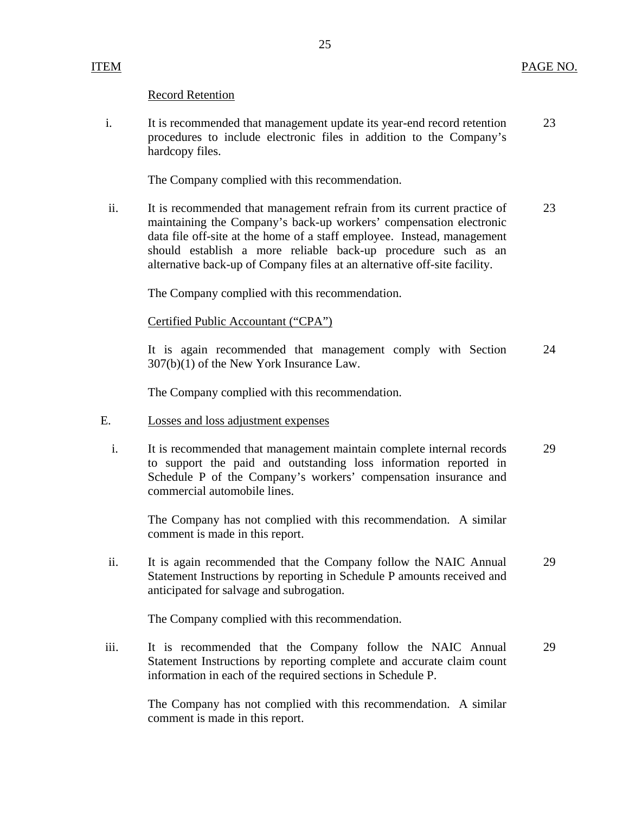# Record Retention

i. It is recommended that management update its year-end record retention 23 procedures to include electronic files in addition to the Company's hardcopy files.

The Company complied with this recommendation.

ii. It is recommended that management refrain from its current practice of 23 maintaining the Company's back-up workers' compensation electronic data file off-site at the home of a staff employee. Instead, management should establish a more reliable back-up procedure such as an alternative back-up of Company files at an alternative off-site facility.

The Company complied with this recommendation.

Certified Public Accountant ("CPA")

It is again recommended that management comply with Section 24 307(b)(1) of the New York Insurance Law.

The Company complied with this recommendation.

- E. Losses and loss adjustment expenses
	- i. It is recommended that management maintain complete internal records 29 to support the paid and outstanding loss information reported in Schedule P of the Company's workers' compensation insurance and commercial automobile lines.

The Company has not complied with this recommendation. A similar comment is made in this report.

ii. It is again recommended that the Company follow the NAIC Annual 29 Statement Instructions by reporting in Schedule P amounts received and anticipated for salvage and subrogation.

The Company complied with this recommendation.

iii. It is recommended that the Company follow the NAIC Annual 29 Statement Instructions by reporting complete and accurate claim count information in each of the required sections in Schedule P.

The Company has not complied with this recommendation. A similar comment is made in this report.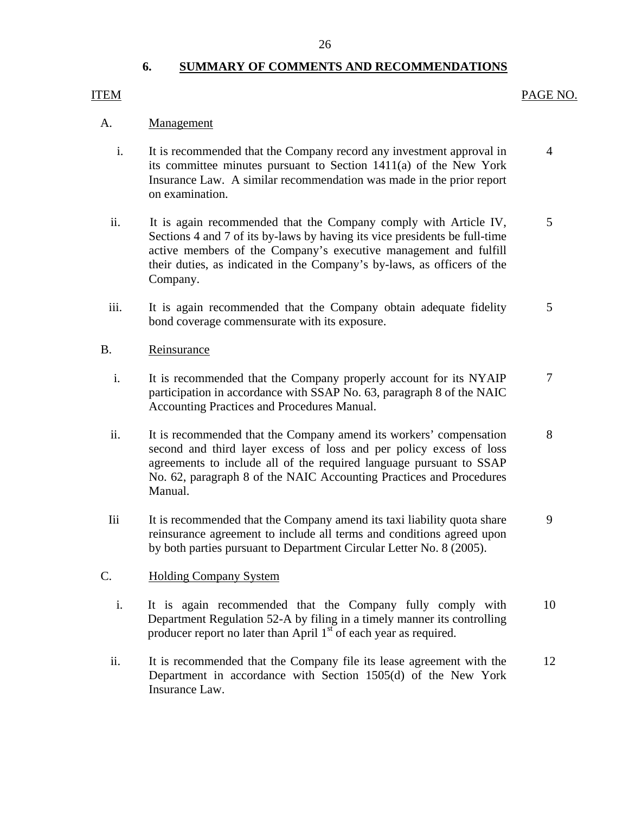# **6. SUMMARY OF COMMENTS AND RECOMMENDATIONS**

# <span id="page-27-0"></span>ITEM

# PAGE NO.

# A. Management

- i. It is recommended that the Company record any investment approval in its committee minutes pursuant to Section 1411(a) of the New York Insurance Law. A similar recommendation was made in the prior report on examination. 4
- ii. It is again recommended that the Company comply with Article IV, Sections 4 and 7 of its by-laws by having its vice presidents be full-time active members of the Company's executive management and fulfill their duties, as indicated in the Company's by-laws, as officers of the Company. 5
- iii. It is again recommended that the Company obtain adequate fidelity bond coverage commensurate with its exposure. 5

# B. Reinsurance

- i. It is recommended that the Company properly account for its NYAIP participation in accordance with SSAP No. 63, paragraph 8 of the NAIC Accounting Practices and Procedures Manual. 7
- ii. It is recommended that the Company amend its workers' compensation second and third layer excess of loss and per policy excess of loss agreements to include all of the required language pursuant to SSAP No. 62, paragraph 8 of the NAIC Accounting Practices and Procedures Manual. 8
- Iii It is recommended that the Company amend its taxi liability quota share reinsurance agreement to include all terms and conditions agreed upon by both parties pursuant to Department Circular Letter No. 8 (2005). 9

# C. Holding Company System

- i. It is again recommended that the Company fully comply with Department Regulation 52-A by filing in a timely manner its controlling producer report no later than April  $1<sup>st</sup>$  of each year as required. 10
- ii. It is recommended that the Company file its lease agreement with the Department in accordance with Section 1505(d) of the New York Insurance Law. 12

26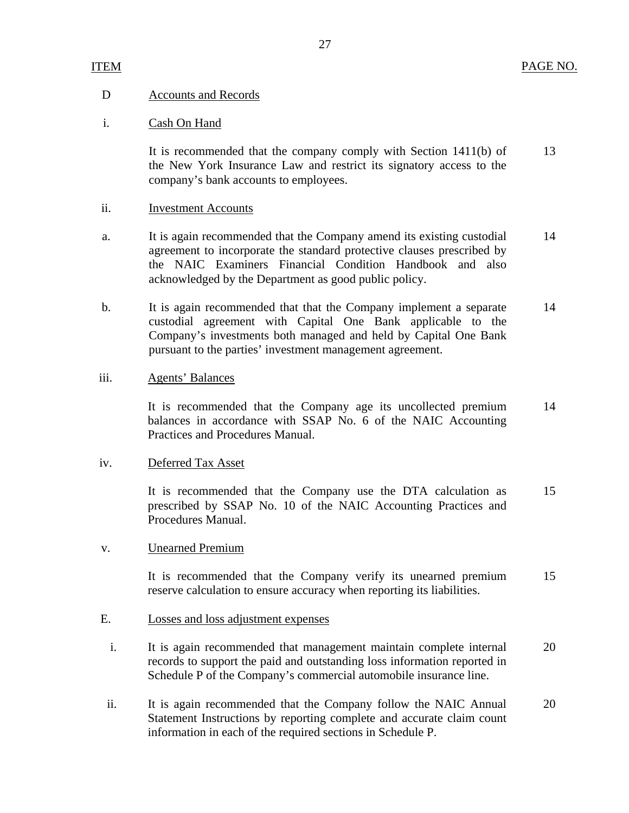# ITEM

# D Accounts and Records

# i. Cash On Hand

It is recommended that the company comply with Section 1411(b) of the New York Insurance Law and restrict its signatory access to the company's bank accounts to employees. 13

# ii. Investment Accounts

- a. It is again recommended that the Company amend its existing custodial agreement to incorporate the standard protective clauses prescribed by the NAIC Examiners Financial Condition Handbook and also acknowledged by the Department as good public policy. 14
- b. It is again recommended that that the Company implement a separate custodial agreement with Capital One Bank applicable to the Company's investments both managed and held by Capital One Bank pursuant to the parties' investment management agreement. 14

# iii. Agents' Balances

It is recommended that the Company age its uncollected premium balances in accordance with SSAP No. 6 of the NAIC Accounting Practices and Procedures Manual. 14

## iv. Deferred Tax Asset

It is recommended that the Company use the DTA calculation as prescribed by SSAP No. 10 of the NAIC Accounting Practices and Procedures Manual. 15

# v. Unearned Premium

It is recommended that the Company verify its unearned premium reserve calculation to ensure accuracy when reporting its liabilities. 15

# E. Losses and loss adjustment expenses

- i. It is again recommended that management maintain complete internal records to support the paid and outstanding loss information reported in Schedule P of the Company's commercial automobile insurance line. 20
- ii. It is again recommended that the Company follow the NAIC Annual Statement Instructions by reporting complete and accurate claim count information in each of the required sections in Schedule P. 20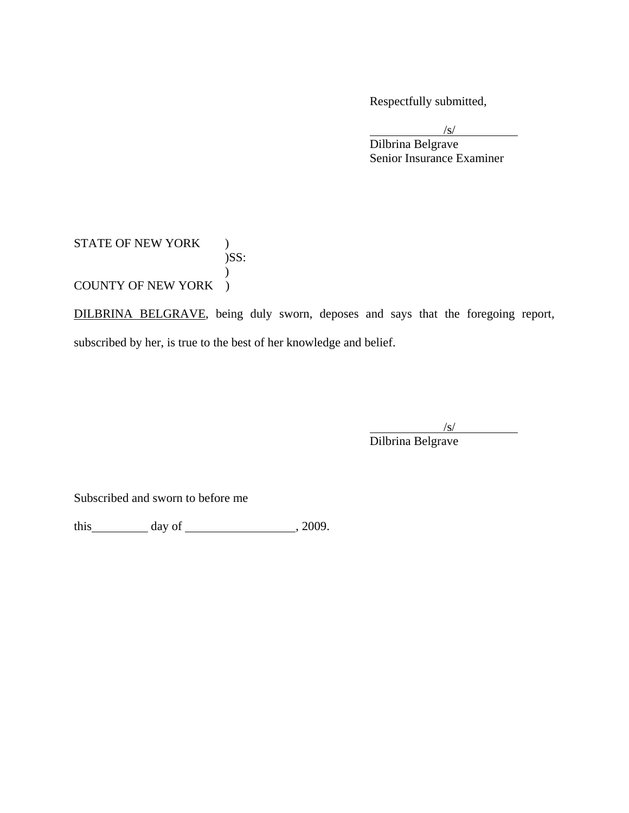Respectfully submitted,

 $\sqrt{s}$  Dilbrina Belgrave Senior Insurance Examiner

# STATE OF NEW YORK ) )SS:  $\mathcal{L}$ COUNTY OF NEW YORK )

DILBRINA BELGRAVE, being duly sworn, deposes and says that the foregoing report, subscribed by her, is true to the best of her knowledge and belief.

 $\sqrt{s}$ /s/ Dilbrina Belgrave

Subscribed and sworn to before me

this  $\qquad \qquad \text{day of} \qquad \qquad .2009.$